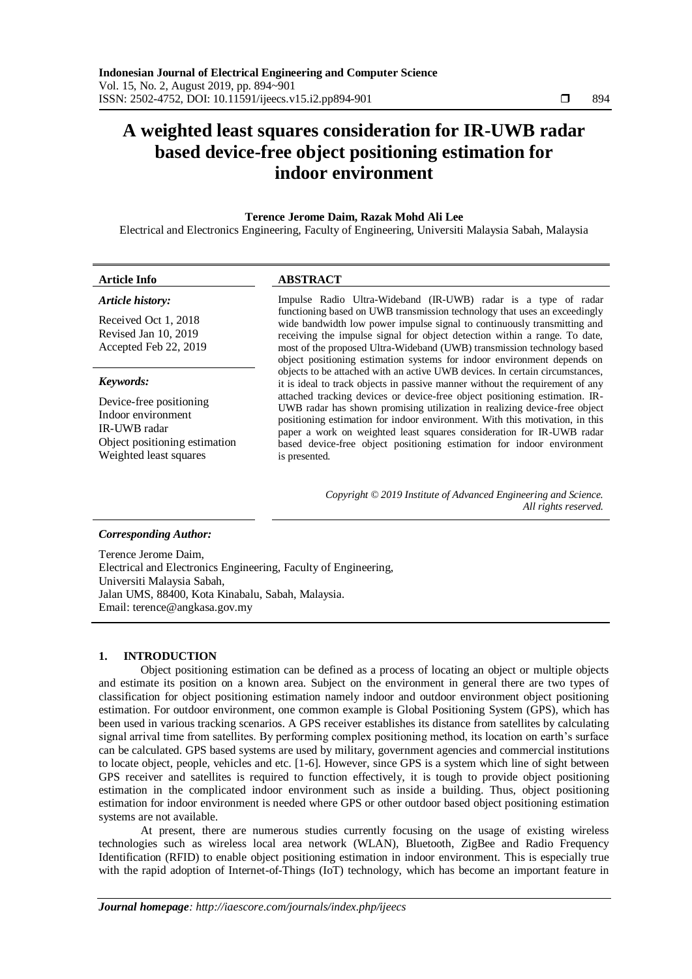# **A weighted least squares consideration for IR-UWB radar based device-free object positioning estimation for indoor environment**

### **Terence Jerome Daim, Razak Mohd Ali Lee**

Electrical and Electronics Engineering, Faculty of Engineering, Universiti Malaysia Sabah, Malaysia

#### **Article Info ABSTRACT**

#### *Article history:*

Received Oct 1, 2018 Revised Jan 10, 2019 Accepted Feb 22, 2019

#### *Keywords:*

Device-free positioning Indoor environment IR-UWB radar Object positioning estimation Weighted least squares

Impulse Radio Ultra-Wideband (IR-UWB) radar is a type of radar functioning based on UWB transmission technology that uses an exceedingly wide bandwidth low power impulse signal to continuously transmitting and receiving the impulse signal for object detection within a range. To date, most of the proposed Ultra-Wideband (UWB) transmission technology based object positioning estimation systems for indoor environment depends on objects to be attached with an active UWB devices. In certain circumstances, it is ideal to track objects in passive manner without the requirement of any attached tracking devices or device-free object positioning estimation. IR-UWB radar has shown promising utilization in realizing device-free object positioning estimation for indoor environment. With this motivation, in this paper a work on weighted least squares consideration for IR-UWB radar based device-free object positioning estimation for indoor environment is presented.

> *Copyright © 2019 Institute of Advanced Engineering and Science. All rights reserved.*

#### *Corresponding Author:*

Terence Jerome Daim, Electrical and Electronics Engineering, Faculty of Engineering, Universiti Malaysia Sabah, Jalan UMS, 88400, Kota Kinabalu, Sabah, Malaysia. Email: terence@angkasa.gov.my

# **1. INTRODUCTION**

Object positioning estimation can be defined as a process of locating an object or multiple objects and estimate its position on a known area. Subject on the environment in general there are two types of classification for object positioning estimation namely indoor and outdoor environment object positioning estimation. For outdoor environment, one common example is Global Positioning System (GPS), which has been used in various tracking scenarios. A GPS receiver establishes its distance from satellites by calculating signal arrival time from satellites. By performing complex positioning method, its location on earth's surface can be calculated. GPS based systems are used by military, government agencies and commercial institutions to locate object, people, vehicles and etc. [1-6]. However, since GPS is a system which line of sight between GPS receiver and satellites is required to function effectively, it is tough to provide object positioning estimation in the complicated indoor environment such as inside a building. Thus, object positioning estimation for indoor environment is needed where GPS or other outdoor based object positioning estimation systems are not available.

At present, there are numerous studies currently focusing on the usage of existing wireless technologies such as wireless local area network (WLAN), Bluetooth, ZigBee and Radio Frequency Identification (RFID) to enable object positioning estimation in indoor environment. This is especially true with the rapid adoption of Internet-of-Things (IoT) technology, which has become an important feature in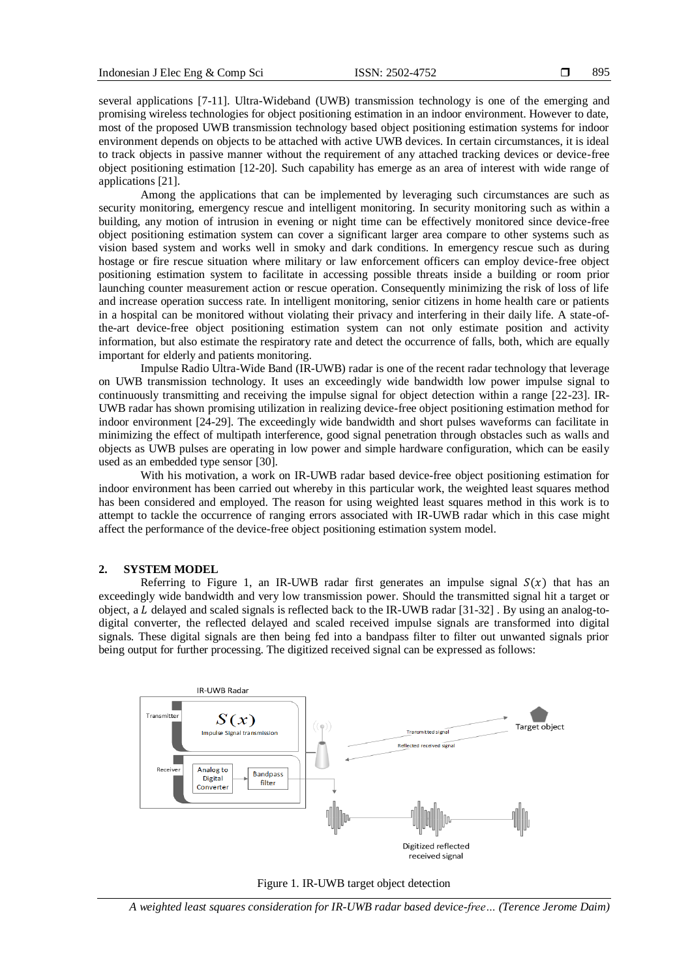several applications [7-11]. Ultra-Wideband (UWB) transmission technology is one of the emerging and promising wireless technologies for object positioning estimation in an indoor environment. However to date, most of the proposed UWB transmission technology based object positioning estimation systems for indoor environment depends on objects to be attached with active UWB devices. In certain circumstances, it is ideal to track objects in passive manner without the requirement of any attached tracking devices or device-free object positioning estimation [12-20]. Such capability has emerge as an area of interest with wide range of applications [21].

Among the applications that can be implemented by leveraging such circumstances are such as security monitoring, emergency rescue and intelligent monitoring. In security monitoring such as within a building, any motion of intrusion in evening or night time can be effectively monitored since device-free object positioning estimation system can cover a significant larger area compare to other systems such as vision based system and works well in smoky and dark conditions. In emergency rescue such as during hostage or fire rescue situation where military or law enforcement officers can employ device-free object positioning estimation system to facilitate in accessing possible threats inside a building or room prior launching counter measurement action or rescue operation. Consequently minimizing the risk of loss of life and increase operation success rate. In intelligent monitoring, senior citizens in home health care or patients in a hospital can be monitored without violating their privacy and interfering in their daily life. A state-ofthe-art device-free object positioning estimation system can not only estimate position and activity information, but also estimate the respiratory rate and detect the occurrence of falls, both, which are equally important for elderly and patients monitoring.

Impulse Radio Ultra-Wide Band (IR-UWB) radar is one of the recent radar technology that leverage on UWB transmission technology. It uses an exceedingly wide bandwidth low power impulse signal to continuously transmitting and receiving the impulse signal for object detection within a range [22-23]. IR-UWB radar has shown promising utilization in realizing device-free object positioning estimation method for indoor environment [24-29]. The exceedingly wide bandwidth and short pulses waveforms can facilitate in minimizing the effect of multipath interference, good signal penetration through obstacles such as walls and objects as UWB pulses are operating in low power and simple hardware configuration, which can be easily used as an embedded type sensor [30].

With his motivation, a work on IR-UWB radar based device-free object positioning estimation for indoor environment has been carried out whereby in this particular work, the weighted least squares method has been considered and employed. The reason for using weighted least squares method in this work is to attempt to tackle the occurrence of ranging errors associated with IR-UWB radar which in this case might affect the performance of the device-free object positioning estimation system model.

#### **2. SYSTEM MODEL**

Referring to Figure 1, an IR-UWB radar first generates an impulse signal  $S(x)$  that has an exceedingly wide bandwidth and very low transmission power. Should the transmitted signal hit a target or object, a  $L$  delayed and scaled signals is reflected back to the IR-UWB radar [31-32]. By using an analog-todigital converter, the reflected delayed and scaled received impulse signals are transformed into digital signals. These digital signals are then being fed into a bandpass filter to filter out unwanted signals prior being output for further processing. The digitized received signal can be expressed as follows:



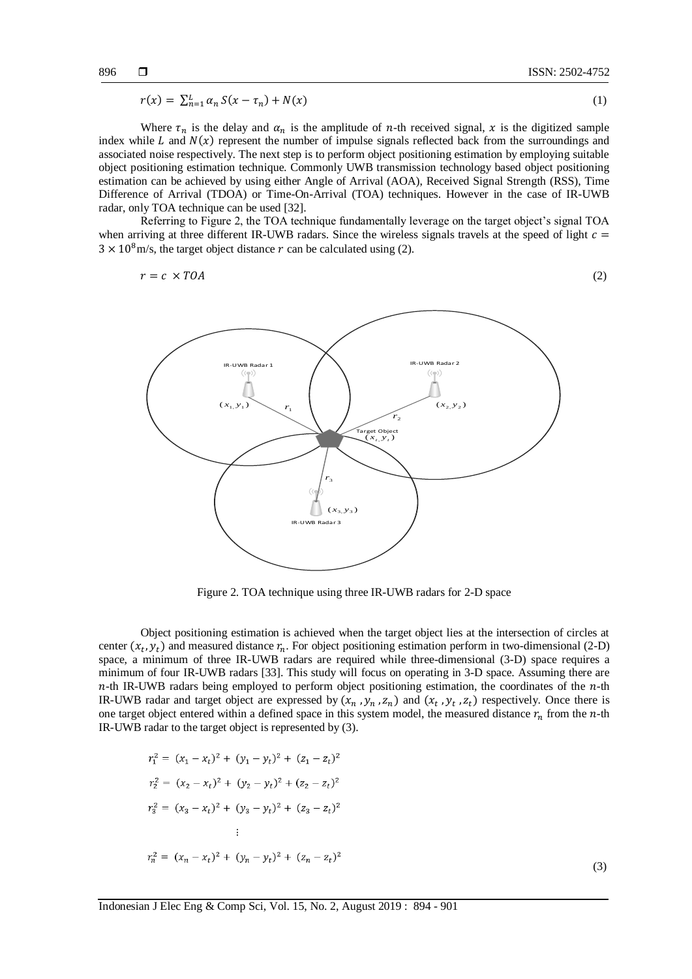$$
r(x) = \sum_{n=1}^{L} \alpha_n S(x - \tau_n) + N(x) \tag{1}
$$

Where  $\tau_n$  is the delay and  $\alpha_n$  is the amplitude of *n*-th received signal, *x* is the digitized sample index while  $L$  and  $N(x)$  represent the number of impulse signals reflected back from the surroundings and associated noise respectively. The next step is to perform object positioning estimation by employing suitable object positioning estimation technique. Commonly UWB transmission technology based object positioning estimation can be achieved by using either Angle of Arrival (AOA), Received Signal Strength (RSS), Time Difference of Arrival (TDOA) or Time-On-Arrival (TOA) techniques. However in the case of IR-UWB radar, only TOA technique can be used [32].

Referring to Figure 2, the TOA technique fundamentally leverage on the target object's signal TOA when arriving at three different IR-UWB radars. Since the wireless signals travels at the speed of light  $c =$  $3 \times 10^8$  m/s, the target object distance r can be calculated using (2).

$$
r = c \times TOA \tag{2}
$$



Figure 2. TOA technique using three IR-UWB radars for 2-D space

Object positioning estimation is achieved when the target object lies at the intersection of circles at center  $(x_t, y_t)$  and measured distance  $r_n$ . For object positioning estimation perform in two-dimensional (2-D) space, a minimum of three IR-UWB radars are required while three-dimensional (3-D) space requires a minimum of four IR-UWB radars [33]. This study will focus on operating in 3-D space. Assuming there are  $n$ -th IR-UWB radars being employed to perform object positioning estimation, the coordinates of the  $n$ -th IR-UWB radar and target object are expressed by  $(x_n, y_n, z_n)$  and  $(x_t, y_t, z_t)$  respectively. Once there is one target object entered within a defined space in this system model, the measured distance  $r_n$  from the *n*-th IR-UWB radar to the target object is represented by (3).

$$
r_1^2 = (x_1 - x_t)^2 + (y_1 - y_t)^2 + (z_1 - z_t)^2
$$
  
\n
$$
r_2^2 = (x_2 - x_t)^2 + (y_2 - y_t)^2 + (z_2 - z_t)^2
$$
  
\n
$$
r_3^2 = (x_3 - x_t)^2 + (y_3 - y_t)^2 + (z_3 - z_t)^2
$$
  
\n
$$
\vdots
$$
  
\n
$$
r_n^2 = (x_n - x_t)^2 + (y_n - y_t)^2 + (z_n - z_t)^2
$$

(3)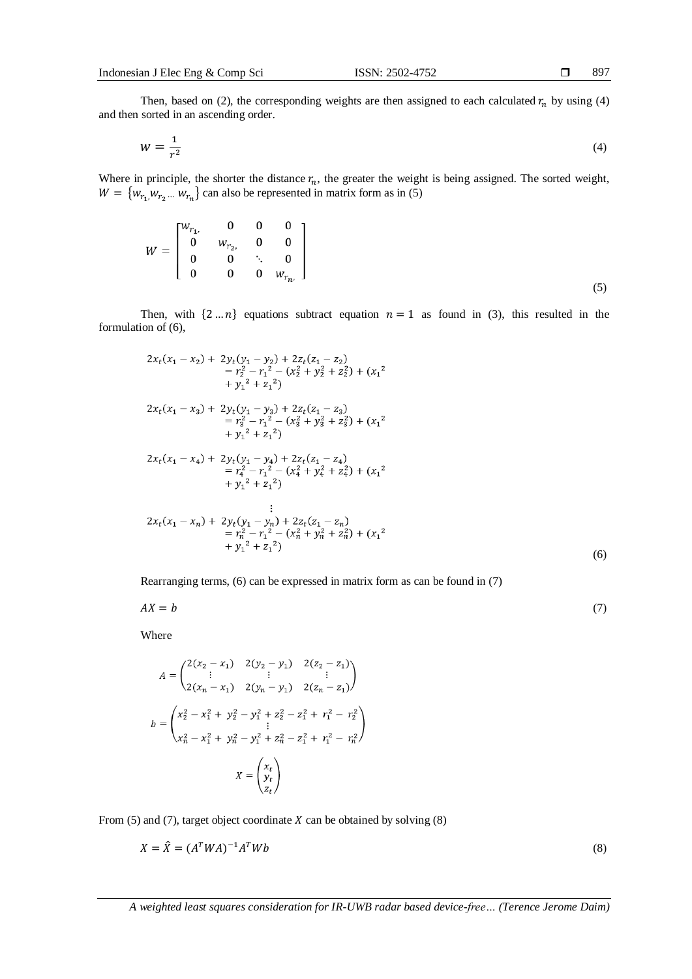$\sim$   $\sim$ 

Then, based on (2), the corresponding weights are then assigned to each calculated  $r_n$  by using (4) and then sorted in an ascending order.

$$
W = \frac{1}{r^2} \tag{4}
$$

Where in principle, the shorter the distance  $r_n$ , the greater the weight is being assigned. The sorted weight,  $W = \{w_{r_1}, w_{r_2} \dots w_{r_n}\}\)$  can also be represented in matrix form as in (5)

$$
W = \begin{bmatrix} w_{r_1,} & 0 & 0 & 0 \\ 0 & w_{r_2,} & 0 & 0 \\ 0 & 0 & \ddots & 0 \\ 0 & 0 & 0 & w_{r_n,} \end{bmatrix}
$$
 (5)

Then, with  $\{2...n\}$  equations subtract equation  $n = 1$  as found in (3), this resulted in the formulation of (6),

$$
2x_t(x_1 - x_2) + 2y_t(y_1 - y_2) + 2z_t(z_1 - z_2)
$$
  
\n
$$
= r_2^2 - r_1^2 - (x_2^2 + y_2^2 + z_2^2) + (x_1^2 + y_1^2 + z_1^2)
$$
  
\n
$$
2x_t(x_1 - x_3) + 2y_t(y_1 - y_3) + 2z_t(z_1 - z_3)
$$
  
\n
$$
= r_3^2 - r_1^2 - (x_3^2 + y_3^2 + z_3^2) + (x_1^2 + y_1^2 + z_1^2)
$$
  
\n
$$
2x_t(x_1 - x_4) + 2y_t(y_1 - y_4) + 2z_t(z_1 - z_4)
$$
  
\n
$$
= r_4^2 - r_1^2 - (x_4^2 + y_4^2 + z_4^2) + (x_1^2 + y_1^2 + z_1^2)
$$
  
\n
$$
+ y_1^2 + z_1^2)
$$
  
\n
$$
2x_t(x_1 - x_n) + 2y_t(y_1 - y_n) + 2z_t(z_1 - z_n)
$$
  
\n
$$
= r_n^2 - r_1^2 - (x_n^2 + y_n^2 + z_n^2) + (x_1^2 + y_1^2 + z_1^2)
$$
  
\n
$$
+ y_1^2 + z_1^2)
$$
  
\n(6)

Rearranging terms, (6) can be expressed in matrix form as can be found in (7)

$$
AX = b \tag{7}
$$

Where

$$
A = \begin{pmatrix} 2(x_2 - x_1) & 2(y_2 - y_1) & 2(z_2 - z_1) \\ \vdots & \vdots & \vdots \\ 2(x_n - x_1) & 2(y_n - y_1) & 2(z_n - z_1) \end{pmatrix}
$$

$$
b = \begin{pmatrix} x_2^2 - x_1^2 + y_2^2 - y_1^2 + z_2^2 - z_1^2 + r_1^2 - r_2^2 \\ \vdots & \vdots \\ x_n^2 - x_1^2 + y_n^2 - y_1^2 + z_n^2 - z_1^2 + r_1^2 - r_n^2 \end{pmatrix}
$$

$$
X = \begin{pmatrix} x_t \\ y_t \\ z_t \end{pmatrix}
$$

From (5) and (7), target object coordinate  $X$  can be obtained by solving (8)

$$
X = \hat{X} = (A^T W A)^{-1} A^T W b \tag{8}
$$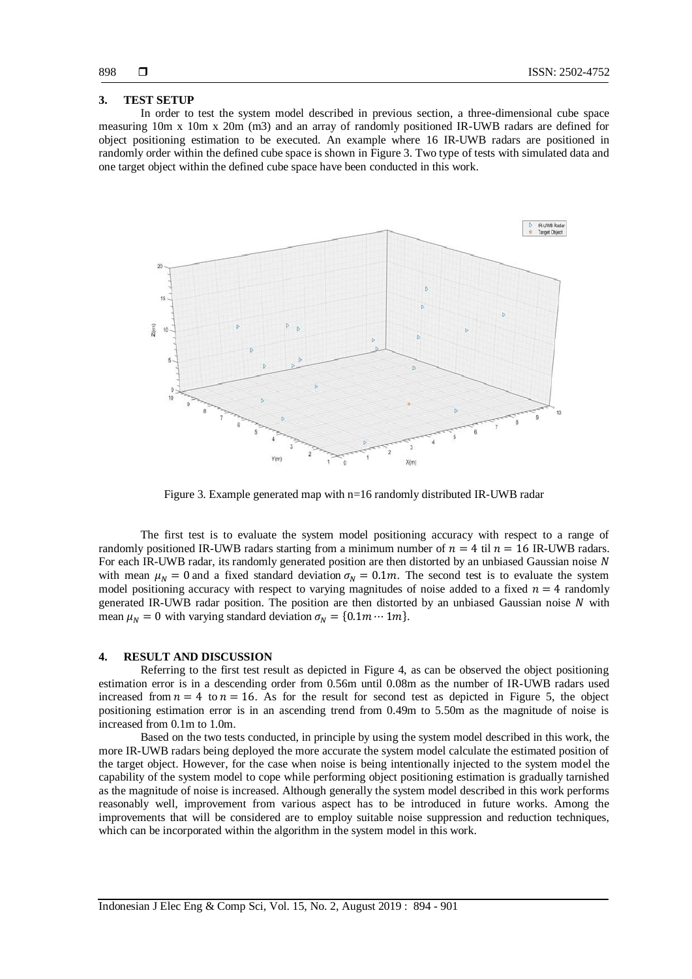### **3. TEST SETUP**

In order to test the system model described in previous section, a three-dimensional cube space measuring 10m x 10m x 20m (m3) and an array of randomly positioned IR-UWB radars are defined for object positioning estimation to be executed. An example where 16 IR-UWB radars are positioned in randomly order within the defined cube space is shown in Figure 3. Two type of tests with simulated data and one target object within the defined cube space have been conducted in this work.



Figure 3. Example generated map with n=16 randomly distributed IR-UWB radar

The first test is to evaluate the system model positioning accuracy with respect to a range of randomly positioned IR-UWB radars starting from a minimum number of  $n = 4$  til  $n = 16$  IR-UWB radars. For each IR-UWB radar, its randomly generated position are then distorted by an unbiased Gaussian noise  $N$ with mean  $\mu_N = 0$  and a fixed standard deviation  $\sigma_N = 0.1m$ . The second test is to evaluate the system model positioning accuracy with respect to varying magnitudes of noise added to a fixed  $n = 4$  randomly generated IR-UWB radar position. The position are then distorted by an unbiased Gaussian noise  $N$  with mean  $\mu_N = 0$  with varying standard deviation  $\sigma_N = \{0.1m \cdots 1m\}$ .

#### **4. RESULT AND DISCUSSION**

Referring to the first test result as depicted in Figure 4, as can be observed the object positioning estimation error is in a descending order from 0.56m until 0.08m as the number of IR-UWB radars used increased from  $n = 4$  to  $n = 16$ . As for the result for second test as depicted in Figure 5, the object positioning estimation error is in an ascending trend from 0.49m to 5.50m as the magnitude of noise is increased from 0.1m to 1.0m.

Based on the two tests conducted, in principle by using the system model described in this work, the more IR-UWB radars being deployed the more accurate the system model calculate the estimated position of the target object. However, for the case when noise is being intentionally injected to the system model the capability of the system model to cope while performing object positioning estimation is gradually tarnished as the magnitude of noise is increased. Although generally the system model described in this work performs reasonably well, improvement from various aspect has to be introduced in future works. Among the improvements that will be considered are to employ suitable noise suppression and reduction techniques, which can be incorporated within the algorithm in the system model in this work.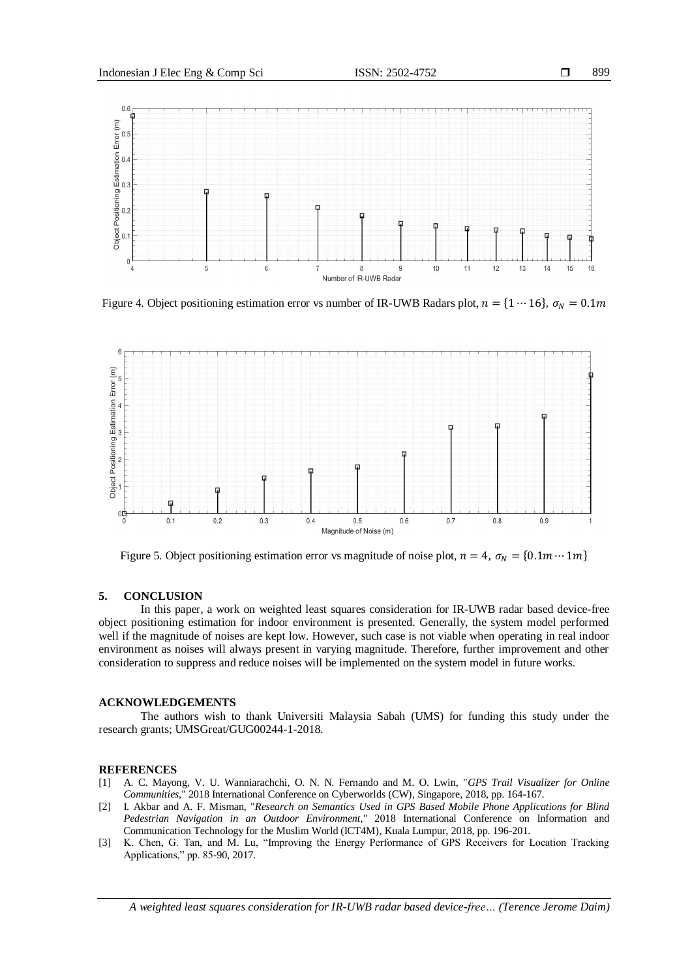

Figure 4. Object positioning estimation error vs number of IR-UWB Radars plot,  $n = \{1 \cdots 16\}$ ,  $\sigma_N = 0.1m$ 



Figure 5. Object positioning estimation error vs magnitude of noise plot,  $n = 4$ ,  $\sigma_N = \{0.1m \cdots 1m\}$ 

### **5. CONCLUSION**

In this paper, a work on weighted least squares consideration for IR-UWB radar based device-free object positioning estimation for indoor environment is presented. Generally, the system model performed well if the magnitude of noises are kept low. However, such case is not viable when operating in real indoor environment as noises will always present in varying magnitude. Therefore, further improvement and other consideration to suppress and reduce noises will be implemented on the system model in future works.

## **ACKNOWLEDGEMENTS**

The authors wish to thank Universiti Malaysia Sabah (UMS) for funding this study under the research grants; UMSGreat/GUG00244-1-2018.

#### **REFERENCES**

- [1] A. C. Mayong, V. U. Wanniarachchi, O. N. N. Fernando and M. O. Lwin, "*GPS Trail Visualizer for Online Communities*," 2018 International Conference on Cyberworlds (CW)*,* Singapore, 2018, pp. 164-167.
- [2] I. Akbar and A. F. Misman, "*Research on Semantics Used in GPS Based Mobile Phone Applications for Blind Pedestrian Navigation in an Outdoor Environment*," 2018 International Conference on Information and Communication Technology for the Muslim World (ICT4M), Kuala Lumpur, 2018, pp. 196-201.
- [3] K. Chen, G. Tan, and M. Lu, "Improving the Energy Performance of GPS Receivers for Location Tracking Applications," pp. 85-90, 2017.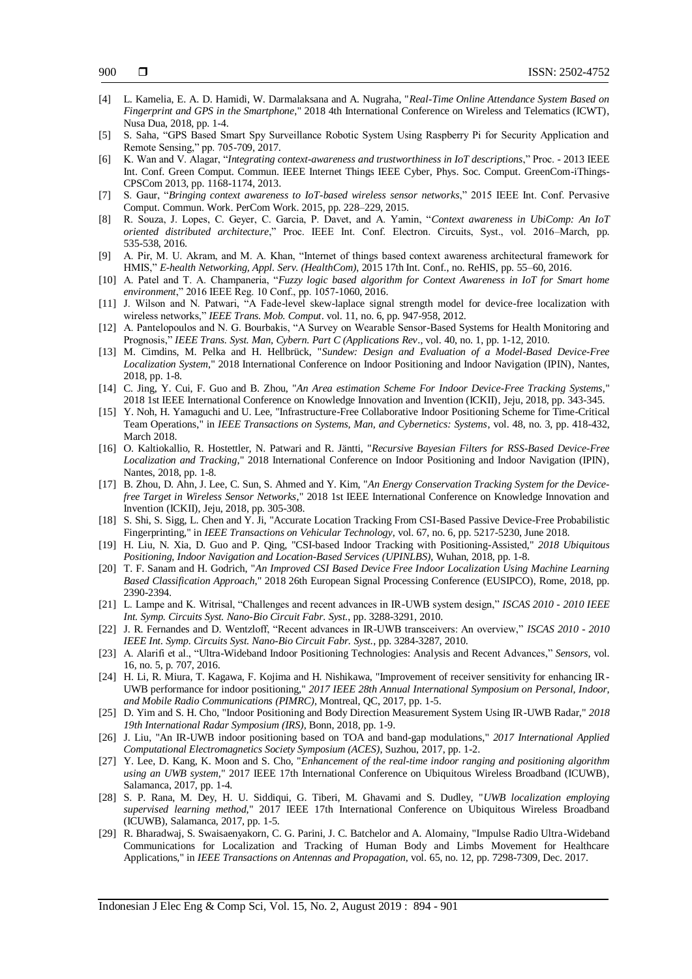- [4] L. Kamelia, E. A. D. Hamidi, W. Darmalaksana and A. Nugraha, "*Real-Time Online Attendance System Based on Fingerprint and GPS in the Smartphone*," 2018 4th International Conference on Wireless and Telematics (ICWT), Nusa Dua, 2018, pp. 1-4.
- [5] S. Saha, "GPS Based Smart Spy Surveillance Robotic System Using Raspberry Pi for Security Application and Remote Sensing," pp. 705-709, 2017.
- [6] K. Wan and V. Alagar, "*Integrating context-awareness and trustworthiness in IoT descriptions*," Proc. 2013 IEEE Int. Conf. Green Comput. Commun. IEEE Internet Things IEEE Cyber, Phys. Soc. Comput. GreenCom-iThings-CPSCom 2013, pp. 1168-1174, 2013.
- [7] S. Gaur, "*Bringing context awareness to IoT-based wireless sensor networks*," 2015 IEEE Int. Conf. Pervasive Comput. Commun. Work. PerCom Work. 2015, pp. 228–229, 2015.
- [8] R. Souza, J. Lopes, C. Geyer, C. Garcia, P. Davet, and A. Yamin, "*Context awareness in UbiComp: An IoT oriented distributed architecture*," Proc. IEEE Int. Conf. Electron. Circuits, Syst., vol. 2016–March, pp. 535-538, 2016.
- [9] A. Pir, M. U. Akram, and M. A. Khan, "Internet of things based context awareness architectural framework for HMIS," *E-health Networking, Appl. Serv. (HealthCom)*, 2015 17th Int. Conf., no. ReHIS, pp. 55–60, 2016.
- [10] A. Patel and T. A. Champaneria, "*Fuzzy logic based algorithm for Context Awareness in IoT for Smart home environment*," 2016 IEEE Reg. 10 Conf., pp. 1057-1060, 2016.
- [11] J. Wilson and N. Patwari, "A Fade-level skew-laplace signal strength model for device-free localization with wireless networks," *IEEE Trans. Mob. Comput*. vol. 11, no. 6, pp. 947-958, 2012.
- [12] A. Pantelopoulos and N. G. Bourbakis, "A Survey on Wearable Sensor-Based Systems for Health Monitoring and Prognosis," *IEEE Trans. Syst. Man, Cybern. Part C (Applications Rev*., vol. 40, no. 1, pp. 1-12, 2010.
- [13] M. Cimdins, M. Pelka and H. Hellbrück, "*Sundew: Design and Evaluation of a Model-Based Device-Free Localization System*," 2018 International Conference on Indoor Positioning and Indoor Navigation (IPIN), Nantes, 2018, pp. 1-8.
- [14] C. Jing, Y. Cui, F. Guo and B. Zhou, "*An Area estimation Scheme For Indoor Device-Free Tracking Systems*," 2018 1st IEEE International Conference on Knowledge Innovation and Invention (ICKII), Jeju, 2018, pp. 343-345.
- [15] Y. Noh, H. Yamaguchi and U. Lee, "Infrastructure-Free Collaborative Indoor Positioning Scheme for Time-Critical Team Operations," in *IEEE Transactions on Systems, Man, and Cybernetics: Systems*, vol. 48, no. 3, pp. 418-432, March 2018.
- [16] O. Kaltiokallio, R. Hostettler, N. Patwari and R. Jäntti, "*Recursive Bayesian Filters for RSS-Based Device-Free Localization and Tracking*," 2018 International Conference on Indoor Positioning and Indoor Navigation (IPIN), Nantes, 2018, pp. 1-8.
- [17] B. Zhou, D. Ahn, J. Lee, C. Sun, S. Ahmed and Y. Kim, "*An Energy Conservation Tracking System for the Devicefree Target in Wireless Sensor Networks*," 2018 1st IEEE International Conference on Knowledge Innovation and Invention (ICKII), Jeju, 2018, pp. 305-308.
- [18] S. Shi, S. Sigg, L. Chen and Y. Ji, "Accurate Location Tracking From CSI-Based Passive Device-Free Probabilistic Fingerprinting," in *IEEE Transactions on Vehicular Technology*, vol. 67, no. 6, pp. 5217-5230, June 2018.
- [19] H. Liu, N. Xia, D. Guo and P. Qing, "CSI-based Indoor Tracking with Positioning-Assisted," *2018 Ubiquitous Positioning, Indoor Navigation and Location-Based Services (UPINLBS)*, Wuhan, 2018, pp. 1-8.
- [20] T. F. Sanam and H. Godrich, "*An Improved CSI Based Device Free Indoor Localization Using Machine Learning Based Classification Approach*," 2018 26th European Signal Processing Conference (EUSIPCO), Rome, 2018, pp. 2390-2394.
- [21] L. Lampe and K. Witrisal, "Challenges and recent advances in IR-UWB system design," *ISCAS 2010 - 2010 IEEE Int. Symp. Circuits Syst. Nano-Bio Circuit Fabr. Syst.*, pp. 3288-3291, 2010.
- [22] J. R. Fernandes and D. Wentzloff, "Recent advances in IR-UWB transceivers: An overview," *ISCAS 2010 - 2010 IEEE Int. Symp. Circuits Syst. Nano-Bio Circuit Fabr. Syst.*, pp. 3284-3287, 2010.
- [23] A. Alarifi et al., "Ultra-Wideband Indoor Positioning Technologies: Analysis and Recent Advances," *Sensors*, vol. 16, no. 5, p. 707, 2016.
- [24] H. Li, R. Miura, T. Kagawa, F. Kojima and H. Nishikawa, "Improvement of receiver sensitivity for enhancing IR-UWB performance for indoor positioning," *2017 IEEE 28th Annual International Symposium on Personal, Indoor, and Mobile Radio Communications (PIMRC)*, Montreal, QC, 2017, pp. 1-5.
- [25] D. Yim and S. H. Cho, "Indoor Positioning and Body Direction Measurement System Using IR-UWB Radar," *2018 19th International Radar Symposium (IRS)*, Bonn, 2018, pp. 1-9.
- [26] J. Liu, "An IR-UWB indoor positioning based on TOA and band-gap modulations," *2017 International Applied Computational Electromagnetics Society Symposium (ACES)*, Suzhou, 2017, pp. 1-2.
- [27] Y. Lee, D. Kang, K. Moon and S. Cho, "*Enhancement of the real-time indoor ranging and positioning algorithm using an UWB system*," 2017 IEEE 17th International Conference on Ubiquitous Wireless Broadband (ICUWB), Salamanca, 2017, pp. 1-4.
- [28] S. P. Rana, M. Dey, H. U. Siddiqui, G. Tiberi, M. Ghavami and S. Dudley, "*UWB localization employing supervised learning method*," 2017 IEEE 17th International Conference on Ubiquitous Wireless Broadband (ICUWB), Salamanca, 2017, pp. 1-5.
- [29] R. Bharadwaj, S. Swaisaenyakorn, C. G. Parini, J. C. Batchelor and A. Alomainy, "Impulse Radio Ultra-Wideband Communications for Localization and Tracking of Human Body and Limbs Movement for Healthcare Applications," in *IEEE Transactions on Antennas and Propagation*, vol. 65, no. 12, pp. 7298-7309, Dec. 2017.